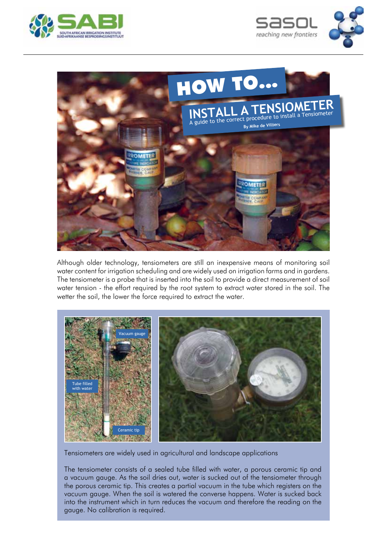





Although older technology, tensiometers are still an inexpensive means of monitoring soil water content for irrigation scheduling and are widely used on irrigation farms and in gardens. The tensiometer is a probe that is inserted into the soil to provide a direct measurement of soil water tension - the effort required by the root system to extract water stored in the soil. The wetter the soil, the lower the force required to extract the water.



Tensiometers are widely used in agricultural and landscape applications

The tensiometer consists of a sealed tube filled with water, a porous ceramic tip and a vacuum gauge. As the soil dries out, water is sucked out of the tensiometer through the porous ceramic tip. This creates a partial vacuum in the tube which registers on the vacuum gauge. When the soil is watered the converse happens. Water is sucked back into the instrument which in turn reduces the vacuum and therefore the reading on the gauge. No calibration is required.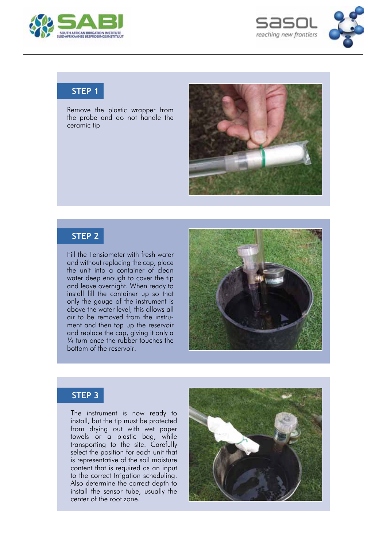



## **STEP 1**

Remove the plastic wrapper from the probe and do not handle the ceramic tip



### **STEP 2**

Fill the Tensiometer with fresh water and without replacing the cap, place the unit into a container of clean water deep enough to cover the tip and leave overnight. When ready to install fill the container up so that only the gauge of the instrument is above the water level, this allows all air to be removed from the instrument and then top up the reservoir and replace the cap, giving it only a  $\frac{1}{4}$  turn once the rubber touches the bottom of the reservoir.



## **STEP 3**

The instrument is now ready to install, but the tip must be protected from drying out with wet paper towels or a plastic bag, while transporting to the site. Carefully select the position for each unit that is representative of the soil moisture content that is required as an input to the correct Irrigation scheduling. Also determine the correct depth to install the sensor tube, usually the center of the root zone.

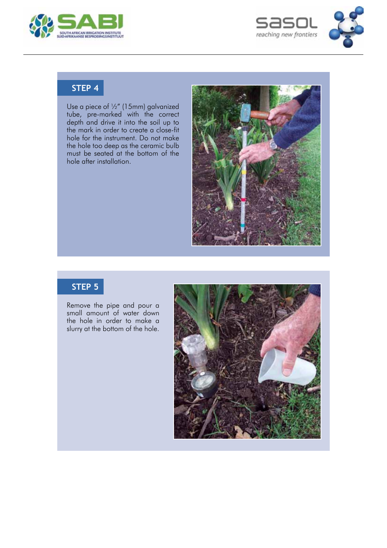



# **STEP 4**

Use a piece of ½" (15mm) galvanized tube, pre-marked with the correct depth and drive it into the soil up to the mark in order to create a close-fit hole for the instrument. Do not make the hole too deep as the ceramic bulb must be seated at the bottom of the hole after installation.



## **STEP 5**

Remove the pipe and pour a small amount of water down the hole in order to make a slurry at the bottom of the hole.

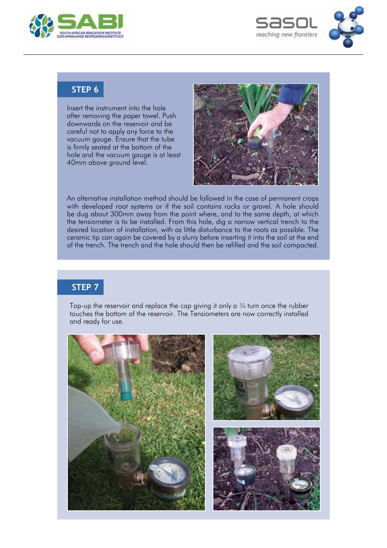



## **STEP 6**

Insert the instrument into the hole after removing the paper towel. Push downwards on the reservoir and be careful not to apply any force to the vacuum gauge. Ensure that the tube is firmly seated at the bottom of the hole and the vacuum gauge is at least 40mm above ground level.



An alternative installation method should be followed in the case of permanent crops with developed root systems or if the soil contains rocks or gravel. A hole should be dug about 300mm away from the point where, and to the same depth, at which the tensiometer is to be installed. From this hole, dig a narrow vertical trench to the desired location of installation, with as little disturbance to the roots as possible. The ceramic tip can again be covered by a slurry before inserting it into the soil at the end of the trench. The trench and the hole should then be refilled and the soil compacted.

# **STEP 7**

Top-up the reservoir and replace the cap giving it only a  $\frac{1}{4}$  turn once the rubber touches the bottom of the reservoir. The Tensiometers are now correctly installed and ready for use.